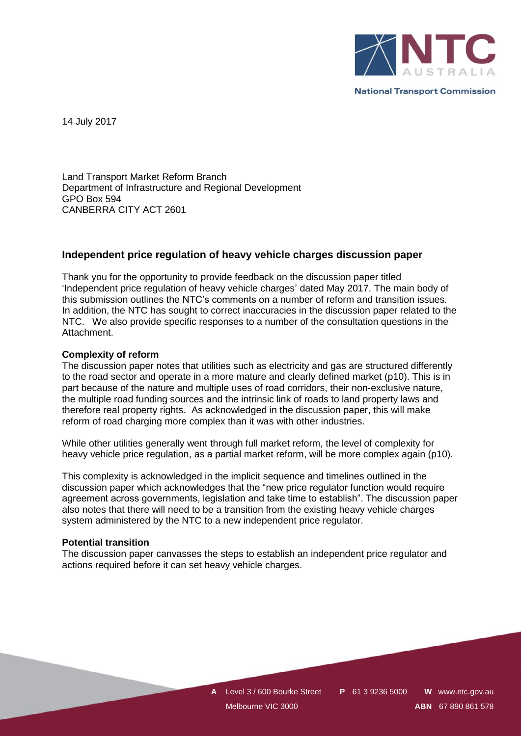

**National Transport Commission** 

14 July 2017

Land Transport Market Reform Branch Department of Infrastructure and Regional Development GPO Box 594 CANBERRA CITY ACT 2601

## **Independent price regulation of heavy vehicle charges discussion paper**

Thank you for the opportunity to provide feedback on the discussion paper titled 'Independent price regulation of heavy vehicle charges' dated May 2017. The main body of this submission outlines the NTC's comments on a number of reform and transition issues. In addition, the NTC has sought to correct inaccuracies in the discussion paper related to the NTC. We also provide specific responses to a number of the consultation questions in the Attachment.

### **Complexity of reform**

The discussion paper notes that utilities such as electricity and gas are structured differently to the road sector and operate in a more mature and clearly defined market (p10). This is in part because of the nature and multiple uses of road corridors, their non-exclusive nature, the multiple road funding sources and the intrinsic link of roads to land property laws and therefore real property rights. As acknowledged in the discussion paper, this will make reform of road charging more complex than it was with other industries.

While other utilities generally went through full market reform, the level of complexity for heavy vehicle price regulation, as a partial market reform, will be more complex again (p10).

This complexity is acknowledged in the implicit sequence and timelines outlined in the discussion paper which acknowledges that the "new price regulator function would require agreement across governments, legislation and take time to establish". The discussion paper also notes that there will need to be a transition from the existing heavy vehicle charges system administered by the NTC to a new independent price regulator.

#### **Potential transition**

The discussion paper canvasses the steps to establish an independent price regulator and actions required before it can set heavy vehicle charges.

> **A** Level 3 / 600 Bourke Street **P** 61 3 9236 5000 **W** www.ntc.gov.au Melbourne VIC 3000 **ABN** 67 890 861 578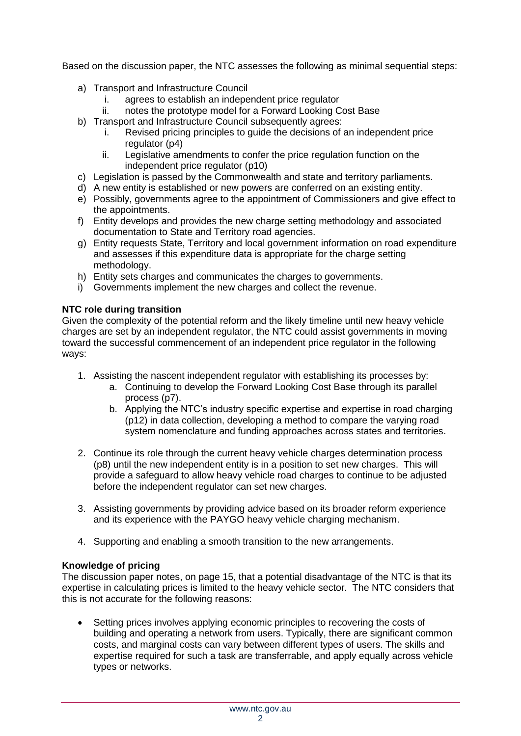Based on the discussion paper, the NTC assesses the following as minimal sequential steps:

- a) Transport and Infrastructure Council
	- i. agrees to establish an independent price regulator
	- ii. notes the prototype model for a Forward Looking Cost Base
- b) Transport and Infrastructure Council subsequently agrees:
	- i. Revised pricing principles to guide the decisions of an independent price regulator (p4)
	- ii. Legislative amendments to confer the price regulation function on the independent price regulator (p10)
- c) Legislation is passed by the Commonwealth and state and territory parliaments.
- d) A new entity is established or new powers are conferred on an existing entity.
- e) Possibly, governments agree to the appointment of Commissioners and give effect to the appointments.
- f) Entity develops and provides the new charge setting methodology and associated documentation to State and Territory road agencies.
- g) Entity requests State, Territory and local government information on road expenditure and assesses if this expenditure data is appropriate for the charge setting methodology.
- h) Entity sets charges and communicates the charges to governments.
- i) Governments implement the new charges and collect the revenue.

# **NTC role during transition**

Given the complexity of the potential reform and the likely timeline until new heavy vehicle charges are set by an independent regulator, the NTC could assist governments in moving toward the successful commencement of an independent price regulator in the following ways:

- 1. Assisting the nascent independent regulator with establishing its processes by:
	- a. Continuing to develop the Forward Looking Cost Base through its parallel process (p7).
	- b. Applying the NTC's industry specific expertise and expertise in road charging (p12) in data collection, developing a method to compare the varying road system nomenclature and funding approaches across states and territories.
- 2. Continue its role through the current heavy vehicle charges determination process (p8) until the new independent entity is in a position to set new charges. This will provide a safeguard to allow heavy vehicle road charges to continue to be adjusted before the independent regulator can set new charges.
- 3. Assisting governments by providing advice based on its broader reform experience and its experience with the PAYGO heavy vehicle charging mechanism.
- 4. Supporting and enabling a smooth transition to the new arrangements.

# **Knowledge of pricing**

The discussion paper notes, on page 15, that a potential disadvantage of the NTC is that its expertise in calculating prices is limited to the heavy vehicle sector. The NTC considers that this is not accurate for the following reasons:

 Setting prices involves applying economic principles to recovering the costs of building and operating a network from users. Typically, there are significant common costs, and marginal costs can vary between different types of users. The skills and expertise required for such a task are transferrable, and apply equally across vehicle types or networks.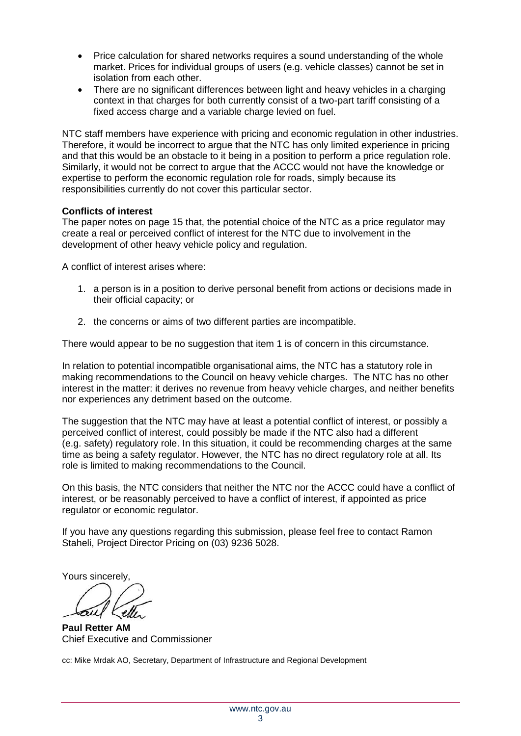- Price calculation for shared networks requires a sound understanding of the whole market. Prices for individual groups of users (e.g. vehicle classes) cannot be set in isolation from each other.
- There are no significant differences between light and heavy vehicles in a charging context in that charges for both currently consist of a two-part tariff consisting of a fixed access charge and a variable charge levied on fuel.

NTC staff members have experience with pricing and economic regulation in other industries. Therefore, it would be incorrect to argue that the NTC has only limited experience in pricing and that this would be an obstacle to it being in a position to perform a price regulation role. Similarly, it would not be correct to argue that the ACCC would not have the knowledge or expertise to perform the economic regulation role for roads, simply because its responsibilities currently do not cover this particular sector.

# **Conflicts of interest**

The paper notes on page 15 that, the potential choice of the NTC as a price regulator may create a real or perceived conflict of interest for the NTC due to involvement in the development of other heavy vehicle policy and regulation.

A conflict of interest arises where:

- 1. a person is in a position to derive personal benefit from actions or decisions made in their official capacity; or
- 2. the concerns or aims of two different parties are incompatible.

There would appear to be no suggestion that item 1 is of concern in this circumstance.

In relation to potential incompatible organisational aims, the NTC has a statutory role in making recommendations to the Council on heavy vehicle charges. The NTC has no other interest in the matter: it derives no revenue from heavy vehicle charges, and neither benefits nor experiences any detriment based on the outcome.

The suggestion that the NTC may have at least a potential conflict of interest, or possibly a perceived conflict of interest, could possibly be made if the NTC also had a different (e.g. safety) regulatory role. In this situation, it could be recommending charges at the same time as being a safety regulator. However, the NTC has no direct regulatory role at all. Its role is limited to making recommendations to the Council.

On this basis, the NTC considers that neither the NTC nor the ACCC could have a conflict of interest, or be reasonably perceived to have a conflict of interest, if appointed as price regulator or economic regulator.

If you have any questions regarding this submission, please feel free to contact Ramon Staheli, Project Director Pricing on (03) 9236 5028.

Yours sincerely,

**Paul Retter AM** Chief Executive and Commissioner

cc: Mike Mrdak AO, Secretary, Department of Infrastructure and Regional Development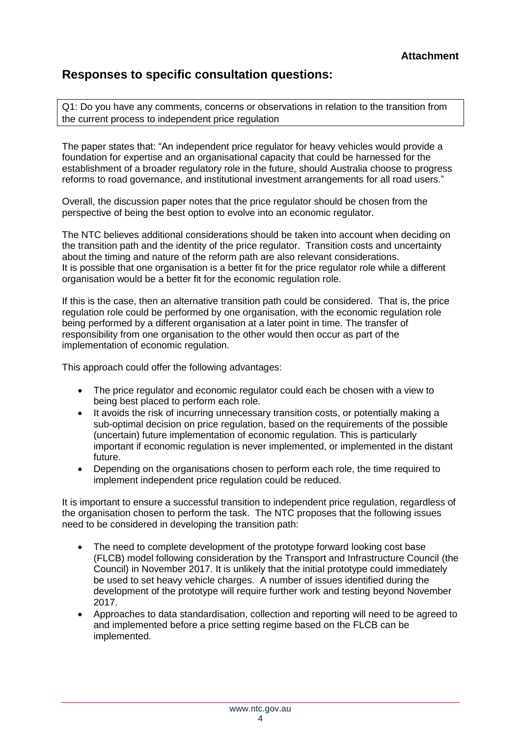# **Responses to specific consultation questions:**

Q1: Do you have any comments, concerns or observations in relation to the transition from the current process to independent price regulation

The paper states that: "An independent price regulator for heavy vehicles would provide a foundation for expertise and an organisational capacity that could be harnessed for the establishment of a broader regulatory role in the future, should Australia choose to progress reforms to road governance, and institutional investment arrangements for all road users."

Overall, the discussion paper notes that the price regulator should be chosen from the perspective of being the best option to evolve into an economic regulator.

The NTC believes additional considerations should be taken into account when deciding on the transition path and the identity of the price regulator. Transition costs and uncertainty about the timing and nature of the reform path are also relevant considerations. It is possible that one organisation is a better fit for the price regulator role while a different organisation would be a better fit for the economic regulation role.

If this is the case, then an alternative transition path could be considered. That is, the price regulation role could be performed by one organisation, with the economic regulation role being performed by a different organisation at a later point in time. The transfer of responsibility from one organisation to the other would then occur as part of the implementation of economic regulation.

This approach could offer the following advantages:

- The price regulator and economic regulator could each be chosen with a view to being best placed to perform each role.
- It avoids the risk of incurring unnecessary transition costs, or potentially making a sub-optimal decision on price regulation, based on the requirements of the possible (uncertain) future implementation of economic regulation. This is particularly important if economic regulation is never implemented, or implemented in the distant future.
- Depending on the organisations chosen to perform each role, the time required to implement independent price regulation could be reduced.

It is important to ensure a successful transition to independent price regulation, regardless of the organisation chosen to perform the task. The NTC proposes that the following issues need to be considered in developing the transition path:

- The need to complete development of the prototype forward looking cost base (FLCB) model following consideration by the Transport and Infrastructure Council (the Council) in November 2017. It is unlikely that the initial prototype could immediately be used to set heavy vehicle charges. A number of issues identified during the development of the prototype will require further work and testing beyond November 2017.
- Approaches to data standardisation, collection and reporting will need to be agreed to and implemented before a price setting regime based on the FLCB can be implemented.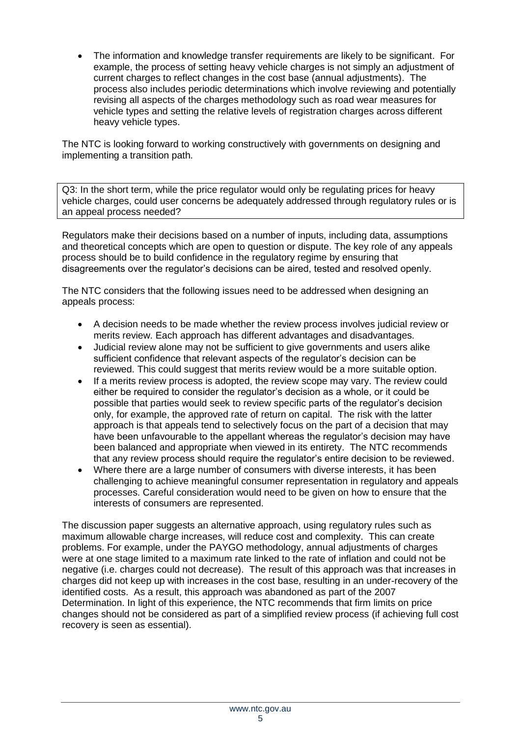The information and knowledge transfer requirements are likely to be significant. For example, the process of setting heavy vehicle charges is not simply an adjustment of current charges to reflect changes in the cost base (annual adjustments). The process also includes periodic determinations which involve reviewing and potentially revising all aspects of the charges methodology such as road wear measures for vehicle types and setting the relative levels of registration charges across different heavy vehicle types.

The NTC is looking forward to working constructively with governments on designing and implementing a transition path.

Q3: In the short term, while the price regulator would only be regulating prices for heavy vehicle charges, could user concerns be adequately addressed through regulatory rules or is an appeal process needed?

Regulators make their decisions based on a number of inputs, including data, assumptions and theoretical concepts which are open to question or dispute. The key role of any appeals process should be to build confidence in the regulatory regime by ensuring that disagreements over the regulator's decisions can be aired, tested and resolved openly.

The NTC considers that the following issues need to be addressed when designing an appeals process:

- A decision needs to be made whether the review process involves judicial review or merits review. Each approach has different advantages and disadvantages.
- Judicial review alone may not be sufficient to give governments and users alike sufficient confidence that relevant aspects of the regulator's decision can be reviewed. This could suggest that merits review would be a more suitable option.
- If a merits review process is adopted, the review scope may vary. The review could either be required to consider the regulator's decision as a whole, or it could be possible that parties would seek to review specific parts of the regulator's decision only, for example, the approved rate of return on capital. The risk with the latter approach is that appeals tend to selectively focus on the part of a decision that may have been unfavourable to the appellant whereas the regulator's decision may have been balanced and appropriate when viewed in its entirety. The NTC recommends that any review process should require the regulator's entire decision to be reviewed.
- Where there are a large number of consumers with diverse interests, it has been challenging to achieve meaningful consumer representation in regulatory and appeals processes. Careful consideration would need to be given on how to ensure that the interests of consumers are represented.

The discussion paper suggests an alternative approach, using regulatory rules such as maximum allowable charge increases, will reduce cost and complexity. This can create problems. For example, under the PAYGO methodology, annual adjustments of charges were at one stage limited to a maximum rate linked to the rate of inflation and could not be negative (i.e. charges could not decrease). The result of this approach was that increases in charges did not keep up with increases in the cost base, resulting in an under-recovery of the identified costs. As a result, this approach was abandoned as part of the 2007 Determination. In light of this experience, the NTC recommends that firm limits on price changes should not be considered as part of a simplified review process (if achieving full cost recovery is seen as essential).